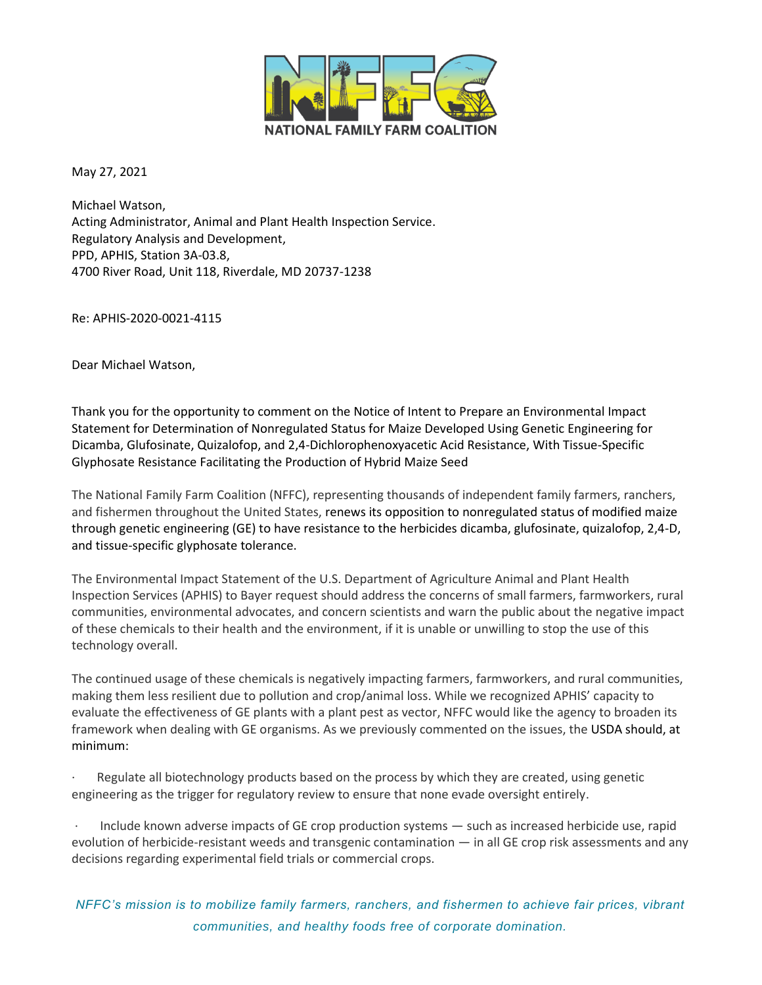

May 27, 2021

Michael Watson, Acting Administrator, Animal and Plant Health Inspection Service. Regulatory Analysis and Development, PPD, APHIS, Station 3A-03.8, 4700 River Road, Unit 118, Riverdale, MD 20737-1238

Re: APHIS-2020-0021-4115

Dear Michael Watson,

Thank you for the opportunity to comment on the Notice of Intent to Prepare an Environmental Impact Statement for Determination of Nonregulated Status for Maize Developed Using Genetic Engineering for Dicamba, Glufosinate, Quizalofop, and 2,4-Dichlorophenoxyacetic Acid Resistance, With Tissue-Specific Glyphosate Resistance Facilitating the Production of Hybrid Maize Seed

The National Family Farm Coalition (NFFC), representing thousands of independent family farmers, ranchers, and fishermen throughout the United States, renews its opposition to nonregulated status of modified maize through genetic engineering (GE) to have resistance to the herbicides dicamba, glufosinate, quizalofop, 2,4-D, and tissue-specific glyphosate tolerance.

The Environmental Impact Statement of the U.S. Department of Agriculture Animal and Plant Health Inspection Services (APHIS) to Bayer request should address the concerns of small farmers, farmworkers, rural communities, environmental advocates, and concern scientists and warn the public about the negative impact of these chemicals to their health and the environment, if it is unable or unwilling to stop the use of this technology overall.

The continued usage of these chemicals is negatively impacting farmers, farmworkers, and rural communities, making them less resilient due to pollution and crop/animal loss. While we recognized APHIS' capacity to evaluate the effectiveness of GE plants with a plant pest as vector, NFFC would like the agency to broaden its framework when dealing with GE organisms. As we previously commented on the issues, the USDA should, at minimum:

Regulate all biotechnology products based on the process by which they are created, using genetic engineering as the trigger for regulatory review to ensure that none evade oversight entirely.

Include known adverse impacts of GE crop production systems  $-$  such as increased herbicide use, rapid evolution of herbicide-resistant weeds and transgenic contamination — in all GE crop risk assessments and any decisions regarding experimental field trials or commercial crops.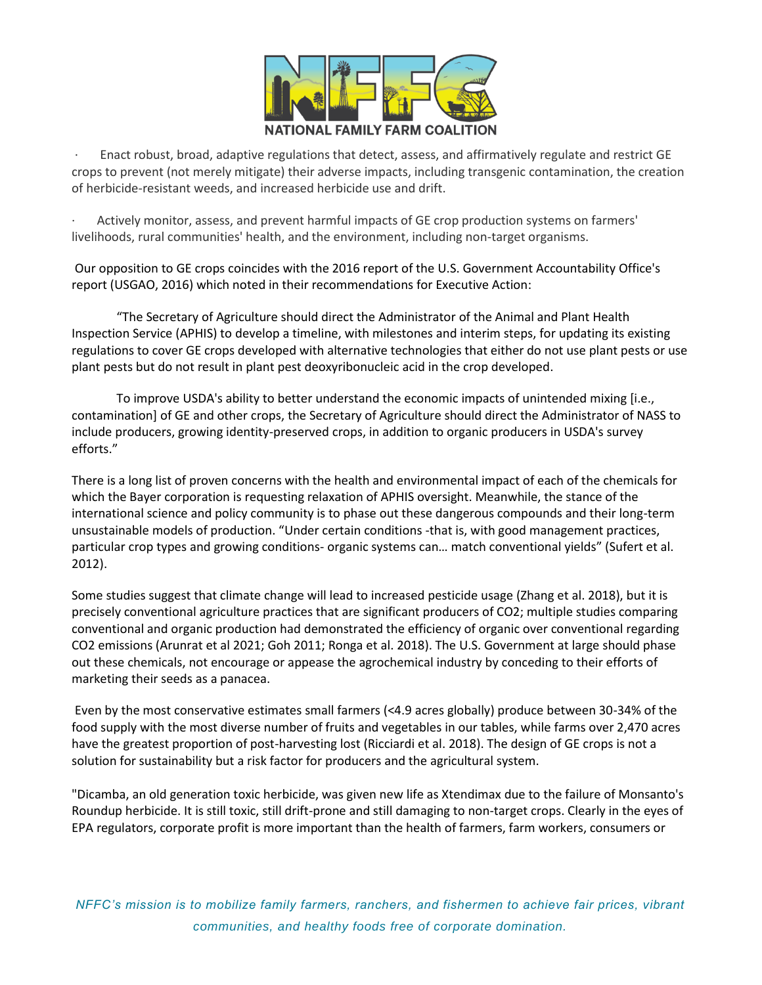

· Enact robust, broad, adaptive regulations that detect, assess, and affirmatively regulate and restrict GE crops to prevent (not merely mitigate) their adverse impacts, including transgenic contamination, the creation of herbicide-resistant weeds, and increased herbicide use and drift.

· Actively monitor, assess, and prevent harmful impacts of GE crop production systems on farmers' livelihoods, rural communities' health, and the environment, including non-target organisms.

Our opposition to GE crops coincides with the 2016 report of the U.S. Government Accountability Office's report (USGAO, 2016) which noted in their recommendations for Executive Action:

"The Secretary of Agriculture should direct the Administrator of the Animal and Plant Health Inspection Service (APHIS) to develop a timeline, with milestones and interim steps, for updating its existing regulations to cover GE crops developed with alternative technologies that either do not use plant pests or use plant pests but do not result in plant pest deoxyribonucleic acid in the crop developed.

To improve USDA's ability to better understand the economic impacts of unintended mixing [i.e., contamination] of GE and other crops, the Secretary of Agriculture should direct the Administrator of NASS to include producers, growing identity-preserved crops, in addition to organic producers in USDA's survey efforts."

There is a long list of proven concerns with the health and environmental impact of each of the chemicals for which the Bayer corporation is requesting relaxation of APHIS oversight. Meanwhile, the stance of the international science and policy community is to phase out these dangerous compounds and their long-term unsustainable models of production. "Under certain conditions -that is, with good management practices, particular crop types and growing conditions- organic systems can… match conventional yields" (Sufert et al. 2012).

Some studies suggest that climate change will lead to increased pesticide usage (Zhang et al. 2018), but it is precisely conventional agriculture practices that are significant producers of CO2; multiple studies comparing conventional and organic production had demonstrated the efficiency of organic over conventional regarding CO2 emissions (Arunrat et al 2021; Goh 2011; Ronga et al. 2018). The U.S. Government at large should phase out these chemicals, not encourage or appease the agrochemical industry by conceding to their efforts of marketing their seeds as a panacea.

Even by the most conservative estimates small farmers (<4.9 acres globally) produce between 30-34% of the food supply with the most diverse number of fruits and vegetables in our tables, while farms over 2,470 acres have the greatest proportion of post-harvesting lost (Ricciardi et al. 2018). The design of GE crops is not a solution for sustainability but a risk factor for producers and the agricultural system.

"Dicamba, an old generation toxic herbicide, was given new life as Xtendimax due to the failure of Monsanto's Roundup herbicide. It is still toxic, still drift-prone and still damaging to non-target crops. Clearly in the eyes of EPA regulators, corporate profit is more important than the health of farmers, farm workers, consumers or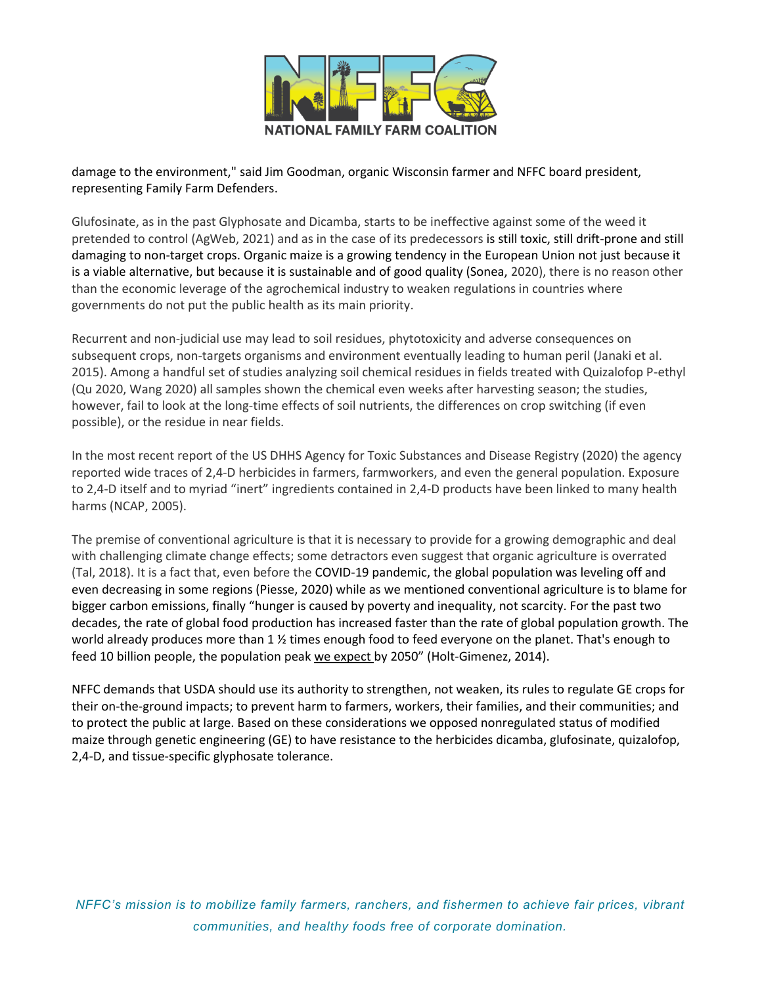

damage to the environment," said Jim Goodman, organic Wisconsin farmer and NFFC board president, representing Family Farm Defenders.

Glufosinate, as in the past Glyphosate and Dicamba, starts to be ineffective against some of the weed it pretended to control (AgWeb, 2021) and as in the case of its predecessors is still toxic, still drift-prone and still damaging to non-target crops. Organic maize is a growing tendency in the European Union not just because it is a viable alternative, but because it is sustainable and of good quality (Sonea, 2020), there is no reason other than the economic leverage of the agrochemical industry to weaken regulations in countries where governments do not put the public health as its main priority.

Recurrent and non-judicial use may lead to soil residues, phytotoxicity and adverse consequences on subsequent crops, non-targets organisms and environment eventually leading to human peril (Janaki et al. 2015). Among a handful set of studies analyzing soil chemical residues in fields treated with Quizalofop P-ethyl (Qu 2020, Wang 2020) all samples shown the chemical even weeks after harvesting season; the studies, however, fail to look at the long-time effects of soil nutrients, the differences on crop switching (if even possible), or the residue in near fields.

In the most recent report of the US DHHS Agency for Toxic Substances and Disease Registry (2020) the agency reported wide traces of 2,4-D herbicides in farmers, farmworkers, and even the general population. Exposure to 2,4-D itself and to myriad "inert" ingredients contained in 2,4-D products have been linked to many health harms (NCAP, 2005).

The premise of conventional agriculture is that it is necessary to provide for a growing demographic and deal with challenging climate change effects; some detractors even suggest that organic agriculture is overrated (Tal, 2018). It is a fact that, even before the COVID-19 pandemic, the global population was leveling off and even decreasing in some regions (Piesse, 2020) while as we mentioned conventional agriculture is to blame for bigger carbon emissions, finally "hunger is caused by poverty and inequality, not scarcity. For the past two decades, the rate of global food production has increased faster than the rate of global population growth. The world already produces more than 1 % times enough food to feed everyone on the planet. That's enough to feed 10 billion people, the population peak [we expect](http://esa.un.org/wpp/Other-Information/Press_Release_WPP2010.pdf) by 2050" (Holt-Gimenez, 2014).

NFFC demands that USDA should use its authority to strengthen, not weaken, its rules to regulate GE crops for their on-the-ground impacts; to prevent harm to farmers, workers, their families, and their communities; and to protect the public at large. Based on these considerations we opposed nonregulated status of modified maize through genetic engineering (GE) to have resistance to the herbicides dicamba, glufosinate, quizalofop, 2,4-D, and tissue-specific glyphosate tolerance.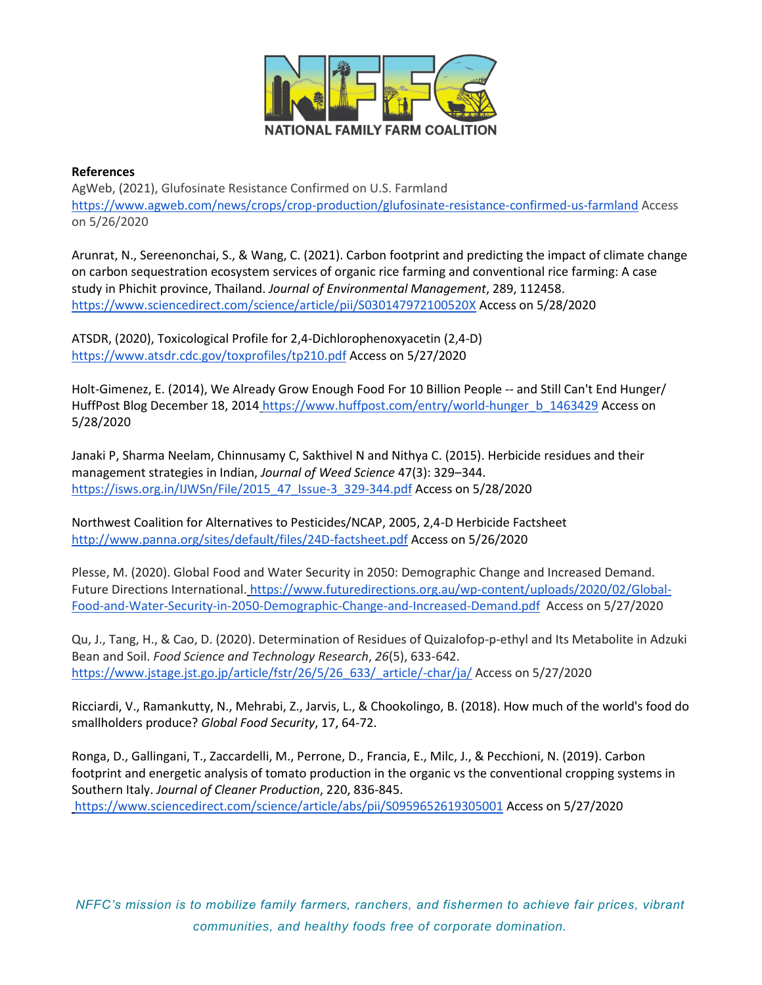

## **References**

AgWeb, (2021), Glufosinate Resistance Confirmed on U.S. Farmlan[d](https://www.agweb.com/news/crops/crop-production/glufosinate-resistance-confirmed-us-farmland) <https://www.agweb.com/news/crops/crop-production/glufosinate-resistance-confirmed-us-farmland> Access on 5/26/2020

Arunrat, N., Sereenonchai, S., & Wang, C. (2021). Carbon footprint and predicting the impact of climate change on carbon sequestration ecosystem services of organic rice farming and conventional rice farming: A case study in Phichit province, Thailand. *Journal of Environmental Management*, 289, 112458[.](https://www.sciencedirect.com/science/article/pii/S030147972100520X) <https://www.sciencedirect.com/science/article/pii/S030147972100520X> Access on 5/28/2020

ATSDR, (2020), Toxicological Profile for 2,4-Dichlorophenoxyacetin (2,4-D[\)](https://www.atsdr.cdc.gov/toxprofiles/tp210.pdf) <https://www.atsdr.cdc.gov/toxprofiles/tp210.pdf> Access on 5/27/2020

Holt-Gimenez, E. (2014), We Already Grow Enough Food For 10 Billion People -- and Still Can't End Hunger/ HuffPost Blog December 18, 2014 [https://www.huffpost.com/entry/world-hunger\\_b\\_1463429](https://www.huffpost.com/entry/world-hunger_b_1463429) Access on 5/28/2020

Janaki P, Sharma Neelam, Chinnusamy C, Sakthivel N and Nithya C. (2015). Herbicide residues and their management strategies in Indian, *Journal of Weed Science* 47(3): 329–344. [https://isws.org.in/IJWSn/File/2015\\_47\\_Issue-3\\_329-344.pdf](https://isws.org.in/IJWSn/File/2015_47_Issue-3_329-344.pdf) Access on 5/28/2020

Northwest Coalition for Alternatives to Pesticides/NCAP, 2005, 2,4-D Herbicide Factshee[t](http://www.panna.org/sites/default/files/24D-factsheet.pdf) <http://www.panna.org/sites/default/files/24D-factsheet.pdf> Access on 5/26/2020

Plesse, M. (2020). Global Food and Water Security in 2050: Demographic Change and Increased Demand. Future Directions International. [https://www.futuredirections.org.au/wp-content/uploads/2020/02/Global-](https://www.futuredirections.org.au/wp-content/uploads/2020/02/Global-Food-and-Water-Security-in-2050-Demographic-Change-and-Increased-Demand.pdf)[Food-and-Water-Security-in-2050-Demographic-Change-and-Increased-Demand.pdf](https://www.futuredirections.org.au/wp-content/uploads/2020/02/Global-Food-and-Water-Security-in-2050-Demographic-Change-and-Increased-Demand.pdf) Access on 5/27/2020

Qu, J., Tang, H., & Cao, D. (2020). Determination of Residues of Quizalofop-p-ethyl and Its Metabolite in Adzuki Bean and Soil. *Food Science and Technology Research*, *26*(5), 633-642[.](https://www.jstage.jst.go.jp/article/fstr/26/5/26_633/_article/-char/ja/) [https://www.jstage.jst.go.jp/article/fstr/26/5/26\\_633/\\_article/-char/ja/](https://www.jstage.jst.go.jp/article/fstr/26/5/26_633/_article/-char/ja/) Access on 5/27/2020

Ricciardi, V., Ramankutty, N., Mehrabi, Z., Jarvis, L., & Chookolingo, B. (2018). How much of the world's food do smallholders produce? *Global Food Security*, 17, 64-72.

Ronga, D., Gallingani, T., Zaccardelli, M., Perrone, D., Francia, E., Milc, J., & Pecchioni, N. (2019). Carbon footprint and energetic analysis of tomato production in the organic vs the conventional cropping systems in Southern Italy. *Journal of Cleaner Production*, 220, 836-845. <https://www.sciencedirect.com/science/article/abs/pii/S0959652619305001> Access on 5/27/2020